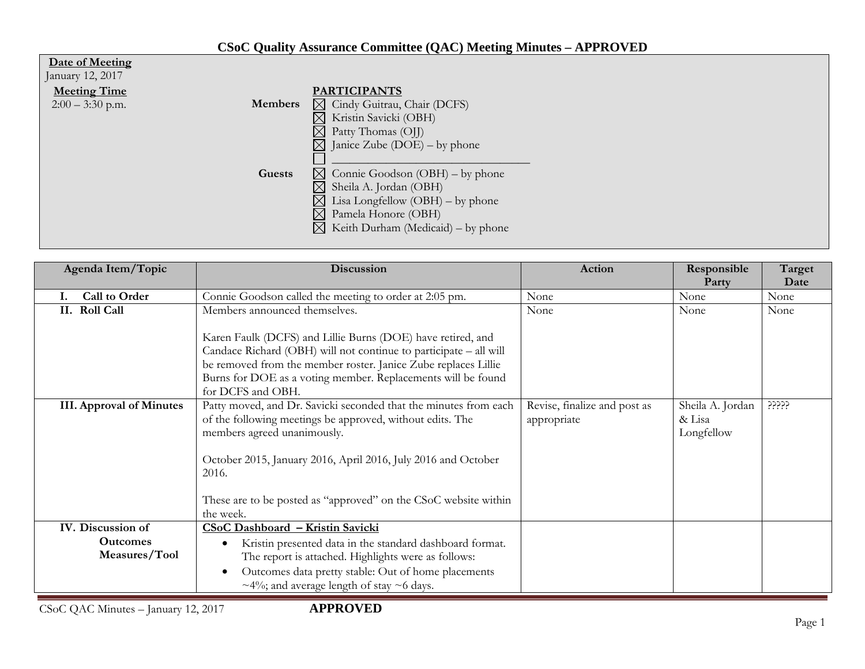## **CSoC Quality Assurance Committee (QAC) Meeting Minutes – APPROVED**

| Date of Meeting                      |                                                   |
|--------------------------------------|---------------------------------------------------|
| January 12, 2017                     |                                                   |
| <b>Meeting Time</b>                  | <b>PARTICIPANTS</b>                               |
| <b>Members</b><br>$2:00 - 3:30$ p.m. | $\boxtimes$ Cindy Guitrau, Chair (DCFS)           |
|                                      | Kristin Savicki (OBH)<br>$\boxtimes$              |
|                                      | $\boxtimes$<br>Patty Thomas (OJJ)                 |
|                                      | $\boxtimes$ Janice Zube (DOE) – by phone          |
|                                      |                                                   |
| Guests                               | $\boxtimes$ Connie Goodson (OBH) – by phone       |
|                                      | $\boxtimes$<br>Sheila A. Jordan (OBH)             |
|                                      | $\boxtimes$<br>Lisa Longfellow $(OBH)$ – by phone |
|                                      | $\boxtimes$ Pamela Honore (OBH)                   |
|                                      | $\boxtimes$ Keith Durham (Medicaid) – by phone    |
|                                      |                                                   |

| Agenda Item/Topic                                     | <b>Discussion</b>                                                                                                                                                                                                                                                                                                      | Action                                      | Responsible                              | Target |
|-------------------------------------------------------|------------------------------------------------------------------------------------------------------------------------------------------------------------------------------------------------------------------------------------------------------------------------------------------------------------------------|---------------------------------------------|------------------------------------------|--------|
|                                                       |                                                                                                                                                                                                                                                                                                                        |                                             | Party                                    | Date   |
| Call to Order                                         | Connie Goodson called the meeting to order at 2:05 pm.                                                                                                                                                                                                                                                                 | None                                        | None                                     | None   |
| II. Roll Call                                         | Members announced themselves.                                                                                                                                                                                                                                                                                          | None                                        | None                                     | None   |
|                                                       | Karen Faulk (DCFS) and Lillie Burns (DOE) have retired, and<br>Candace Richard (OBH) will not continue to participate - all will<br>be removed from the member roster. Janice Zube replaces Lillie<br>Burns for DOE as a voting member. Replacements will be found<br>for DCFS and OBH.                                |                                             |                                          |        |
| <b>III.</b> Approval of Minutes                       | Patty moved, and Dr. Savicki seconded that the minutes from each<br>of the following meetings be approved, without edits. The<br>members agreed unanimously.<br>October 2015, January 2016, April 2016, July 2016 and October<br>2016.<br>These are to be posted as "approved" on the CSoC website within<br>the week. | Revise, finalize and post as<br>appropriate | Sheila A. Jordan<br>& Lisa<br>Longfellow | ?????  |
| IV. Discussion of<br><b>Outcomes</b><br>Measures/Tool | CSoC Dashboard - Kristin Savicki<br>Kristin presented data in the standard dashboard format.<br>The report is attached. Highlights were as follows:<br>Outcomes data pretty stable: Out of home placements<br>$\sim$ 4%; and average length of stay $\sim$ 6 days.                                                     |                                             |                                          |        |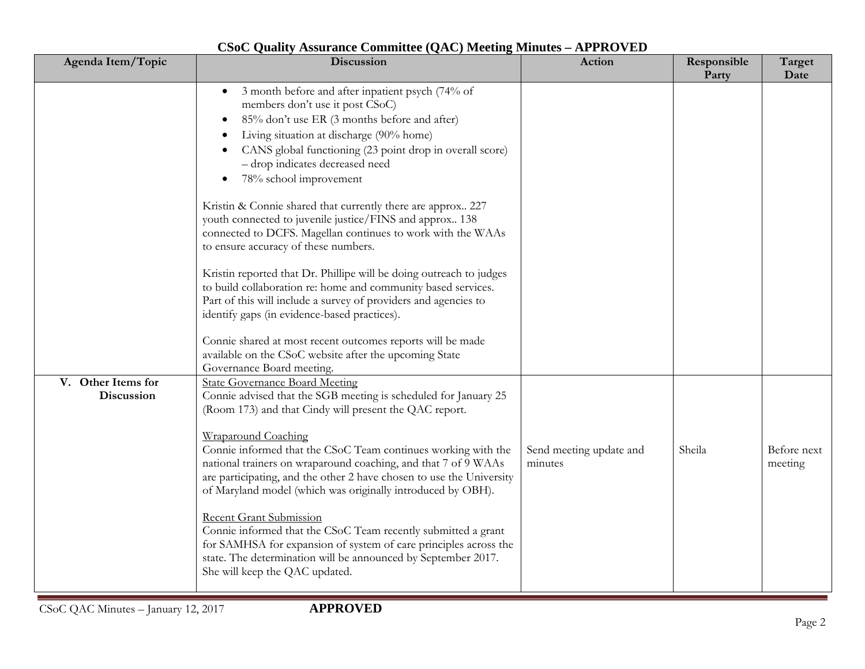| Agenda Item/Topic                | $\sim$ commuted $\sqrt{21}$<br>Discussion                                                                                                                                                                                                                                                                                                                                                                                                                                                                                                                                                                                                                                                                                                                                                                                                                                                                                                                                                                                                                                                                                                                                                                                            | Action                  | Responsible<br>Party | Target<br>Date |
|----------------------------------|--------------------------------------------------------------------------------------------------------------------------------------------------------------------------------------------------------------------------------------------------------------------------------------------------------------------------------------------------------------------------------------------------------------------------------------------------------------------------------------------------------------------------------------------------------------------------------------------------------------------------------------------------------------------------------------------------------------------------------------------------------------------------------------------------------------------------------------------------------------------------------------------------------------------------------------------------------------------------------------------------------------------------------------------------------------------------------------------------------------------------------------------------------------------------------------------------------------------------------------|-------------------------|----------------------|----------------|
| V. Other Items for<br>Discussion | 3 month before and after inpatient psych (74% of<br>$\bullet$<br>members don't use it post CSoC)<br>85% don't use ER (3 months before and after)<br>Living situation at discharge (90% home)<br>CANS global functioning (23 point drop in overall score)<br>- drop indicates decreased need<br>78% school improvement<br>Kristin & Connie shared that currently there are approx 227<br>youth connected to juvenile justice/FINS and approx 138<br>connected to DCFS. Magellan continues to work with the WAAs<br>to ensure accuracy of these numbers.<br>Kristin reported that Dr. Phillipe will be doing outreach to judges<br>to build collaboration re: home and community based services.<br>Part of this will include a survey of providers and agencies to<br>identify gaps (in evidence-based practices).<br>Connie shared at most recent outcomes reports will be made<br>available on the CSoC website after the upcoming State<br>Governance Board meeting.<br><b>State Governance Board Meeting</b><br>Connie advised that the SGB meeting is scheduled for January 25<br>(Room 173) and that Cindy will present the QAC report.<br>Wraparound Coaching<br>Connie informed that the CSoC Team continues working with the | Send meeting update and | Sheila               | Before next    |
|                                  | national trainers on wraparound coaching, and that 7 of 9 WAAs<br>are participating, and the other 2 have chosen to use the University<br>of Maryland model (which was originally introduced by OBH).<br><b>Recent Grant Submission</b><br>Connie informed that the CSoC Team recently submitted a grant<br>for SAMHSA for expansion of system of care principles across the<br>state. The determination will be announced by September 2017.<br>She will keep the QAC updated.                                                                                                                                                                                                                                                                                                                                                                                                                                                                                                                                                                                                                                                                                                                                                      | minutes                 |                      | meeting        |

## **CSoC Quality Assurance Committee (QAC) Meeting Minutes – APPROVED**